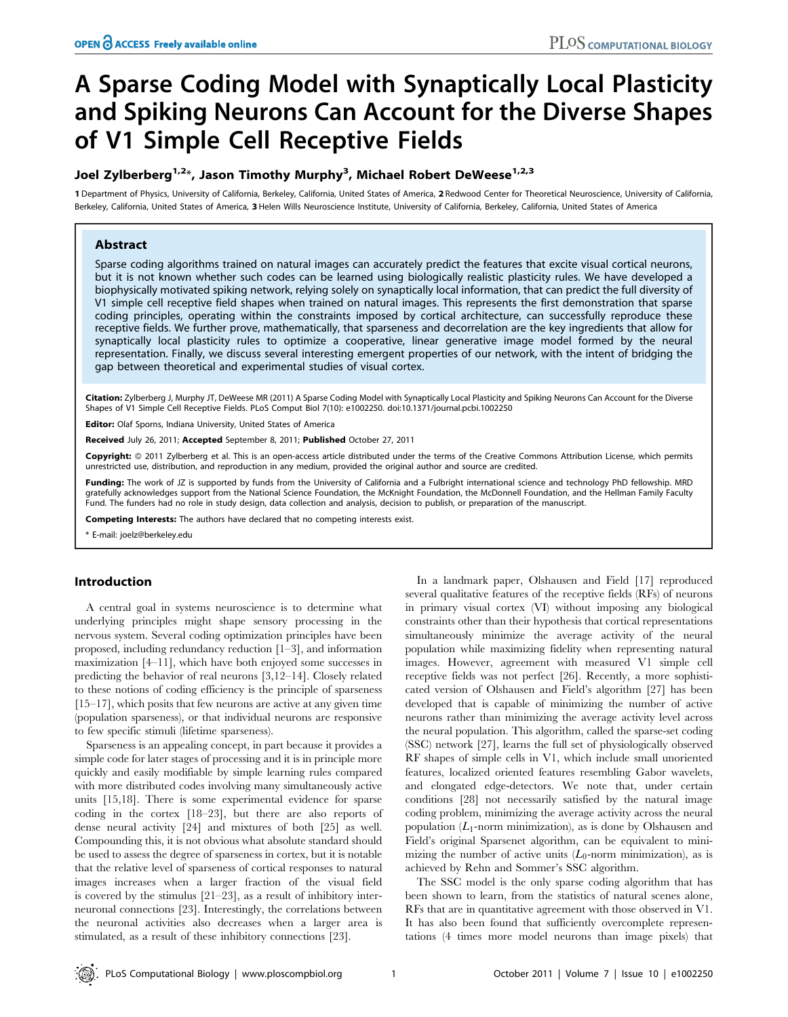# A Sparse Coding Model with Synaptically Local Plasticity and Spiking Neurons Can Account for the Diverse Shapes of V1 Simple Cell Receptive Fields

## Joel Zylberberg<sup>1,2</sup>\*, Jason Timothy Murphy<sup>3</sup>, Michael Robert DeWeese<sup>1,2,3</sup>

1 Department of Physics, University of California, Berkeley, California, United States of America, 2 Redwood Center for Theoretical Neuroscience, University of California, Berkeley, California, United States of America, 3 Helen Wills Neuroscience Institute, University of California, Berkeley, California, United States of America

## Abstract

Sparse coding algorithms trained on natural images can accurately predict the features that excite visual cortical neurons, but it is not known whether such codes can be learned using biologically realistic plasticity rules. We have developed a biophysically motivated spiking network, relying solely on synaptically local information, that can predict the full diversity of V1 simple cell receptive field shapes when trained on natural images. This represents the first demonstration that sparse coding principles, operating within the constraints imposed by cortical architecture, can successfully reproduce these receptive fields. We further prove, mathematically, that sparseness and decorrelation are the key ingredients that allow for synaptically local plasticity rules to optimize a cooperative, linear generative image model formed by the neural representation. Finally, we discuss several interesting emergent properties of our network, with the intent of bridging the gap between theoretical and experimental studies of visual cortex.

Citation: Zylberberg J, Murphy JT, DeWeese MR (2011) A Sparse Coding Model with Synaptically Local Plasticity and Spiking Neurons Can Account for the Diverse Shapes of V1 Simple Cell Receptive Fields. PLoS Comput Biol 7(10): e1002250. doi:10.1371/journal.pcbi.1002250

Editor: Olaf Sporns, Indiana University, United States of America

Received July 26, 2011; Accepted September 8, 2011; Published October 27, 2011

Copyright: © 2011 Zylberberg et al. This is an open-access article distributed under the terms of the Creative Commons Attribution License, which permits unrestricted use, distribution, and reproduction in any medium, provided the original author and source are credited.

Funding: The work of JZ is supported by funds from the University of California and a Fulbright international science and technology PhD fellowship. MRD gratefully acknowledges support from the National Science Foundation, the McKnight Foundation, the McDonnell Foundation, and the Hellman Family Faculty Fund. The funders had no role in study design, data collection and analysis, decision to publish, or preparation of the manuscript.

Competing Interests: The authors have declared that no competing interests exist.

\* E-mail: joelz@berkeley.edu

## Introduction

A central goal in systems neuroscience is to determine what underlying principles might shape sensory processing in the nervous system. Several coding optimization principles have been proposed, including redundancy reduction [1–3], and information maximization [4–11], which have both enjoyed some successes in predicting the behavior of real neurons [3,12–14]. Closely related to these notions of coding efficiency is the principle of sparseness [15–17], which posits that few neurons are active at any given time (population sparseness), or that individual neurons are responsive to few specific stimuli (lifetime sparseness).

Sparseness is an appealing concept, in part because it provides a simple code for later stages of processing and it is in principle more quickly and easily modifiable by simple learning rules compared with more distributed codes involving many simultaneously active units [15,18]. There is some experimental evidence for sparse coding in the cortex [18–23], but there are also reports of dense neural activity [24] and mixtures of both [25] as well. Compounding this, it is not obvious what absolute standard should be used to assess the degree of sparseness in cortex, but it is notable that the relative level of sparseness of cortical responses to natural images increases when a larger fraction of the visual field is covered by the stimulus [21–23], as a result of inhibitory interneuronal connections [23]. Interestingly, the correlations between the neuronal activities also decreases when a larger area is stimulated, as a result of these inhibitory connections [23].

In a landmark paper, Olshausen and Field [17] reproduced several qualitative features of the receptive fields (RFs) of neurons in primary visual cortex (VI) without imposing any biological constraints other than their hypothesis that cortical representations simultaneously minimize the average activity of the neural population while maximizing fidelity when representing natural images. However, agreement with measured V1 simple cell receptive fields was not perfect [26]. Recently, a more sophisticated version of Olshausen and Field's algorithm [27] has been developed that is capable of minimizing the number of active neurons rather than minimizing the average activity level across the neural population. This algorithm, called the sparse-set coding (SSC) network [27], learns the full set of physiologically observed RF shapes of simple cells in V1, which include small unoriented features, localized oriented features resembling Gabor wavelets, and elongated edge-detectors. We note that, under certain conditions [28] not necessarily satisfied by the natural image coding problem, minimizing the average activity across the neural population  $(L_1$ -norm minimization), as is done by Olshausen and Field's original Sparsenet algorithm, can be equivalent to minimizing the number of active units  $(L_0$ -norm minimization), as is achieved by Rehn and Sommer's SSC algorithm.

The SSC model is the only sparse coding algorithm that has been shown to learn, from the statistics of natural scenes alone, RFs that are in quantitative agreement with those observed in V1. It has also been found that sufficiently overcomplete representations (4 times more model neurons than image pixels) that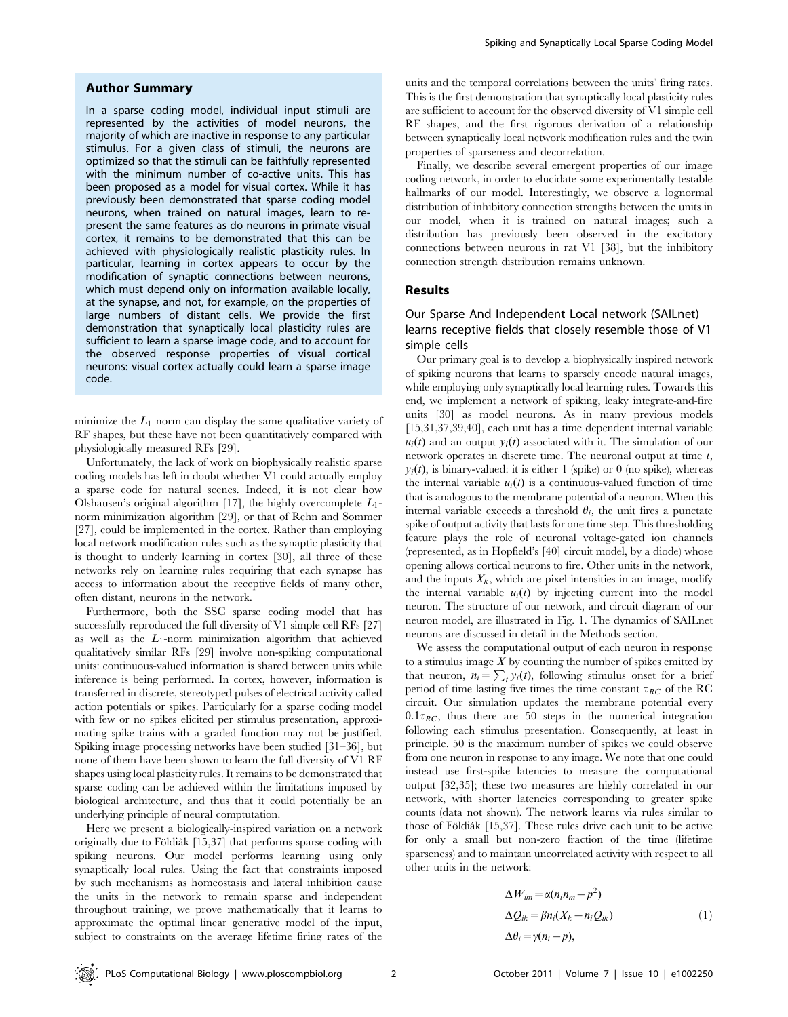#### Author Summary

In a sparse coding model, individual input stimuli are represented by the activities of model neurons, the majority of which are inactive in response to any particular stimulus. For a given class of stimuli, the neurons are optimized so that the stimuli can be faithfully represented with the minimum number of co-active units. This has been proposed as a model for visual cortex. While it has previously been demonstrated that sparse coding model neurons, when trained on natural images, learn to represent the same features as do neurons in primate visual cortex, it remains to be demonstrated that this can be achieved with physiologically realistic plasticity rules. In particular, learning in cortex appears to occur by the modification of synaptic connections between neurons, which must depend only on information available locally, at the synapse, and not, for example, on the properties of large numbers of distant cells. We provide the first demonstration that synaptically local plasticity rules are sufficient to learn a sparse image code, and to account for the observed response properties of visual cortical neurons: visual cortex actually could learn a sparse image code.

minimize the  $L_1$  norm can display the same qualitative variety of RF shapes, but these have not been quantitatively compared with physiologically measured RFs [29].

Unfortunately, the lack of work on biophysically realistic sparse coding models has left in doubt whether V1 could actually employ a sparse code for natural scenes. Indeed, it is not clear how Olshausen's original algorithm [17], the highly overcomplete  $L_1$ norm minimization algorithm [29], or that of Rehn and Sommer [27], could be implemented in the cortex. Rather than employing local network modification rules such as the synaptic plasticity that is thought to underly learning in cortex [30], all three of these networks rely on learning rules requiring that each synapse has access to information about the receptive fields of many other, often distant, neurons in the network.

Furthermore, both the SSC sparse coding model that has successfully reproduced the full diversity of V1 simple cell RFs [27] as well as the  $L_1$ -norm minimization algorithm that achieved qualitatively similar RFs [29] involve non-spiking computational units: continuous-valued information is shared between units while inference is being performed. In cortex, however, information is transferred in discrete, stereotyped pulses of electrical activity called action potentials or spikes. Particularly for a sparse coding model with few or no spikes elicited per stimulus presentation, approximating spike trains with a graded function may not be justified. Spiking image processing networks have been studied [31–36], but none of them have been shown to learn the full diversity of V1 RF shapes using local plasticity rules. It remains to be demonstrated that sparse coding can be achieved within the limitations imposed by biological architecture, and thus that it could potentially be an underlying principle of neural comptutation.

Here we present a biologically-inspired variation on a network originally due to Földiak  $[15,37]$  that performs sparse coding with spiking neurons. Our model performs learning using only synaptically local rules. Using the fact that constraints imposed by such mechanisms as homeostasis and lateral inhibition cause the units in the network to remain sparse and independent throughout training, we prove mathematically that it learns to approximate the optimal linear generative model of the input, subject to constraints on the average lifetime firing rates of the

units and the temporal correlations between the units' firing rates. This is the first demonstration that synaptically local plasticity rules are sufficient to account for the observed diversity of V1 simple cell RF shapes, and the first rigorous derivation of a relationship between synaptically local network modification rules and the twin properties of sparseness and decorrelation.

Finally, we describe several emergent properties of our image coding network, in order to elucidate some experimentally testable hallmarks of our model. Interestingly, we observe a lognormal distribution of inhibitory connection strengths between the units in our model, when it is trained on natural images; such a distribution has previously been observed in the excitatory connections between neurons in rat V1 [38], but the inhibitory connection strength distribution remains unknown.

#### Results

## Our Sparse And Independent Local network (SAILnet) learns receptive fields that closely resemble those of V1 simple cells

Our primary goal is to develop a biophysically inspired network of spiking neurons that learns to sparsely encode natural images, while employing only synaptically local learning rules. Towards this end, we implement a network of spiking, leaky integrate-and-fire units [30] as model neurons. As in many previous models [15,31,37,39,40], each unit has a time dependent internal variable  $u_i(t)$  and an output  $y_i(t)$  associated with it. The simulation of our network operates in discrete time. The neuronal output at time  $t$ ,  $y_i(t)$ , is binary-valued: it is either 1 (spike) or 0 (no spike), whereas the internal variable  $u_i(t)$  is a continuous-valued function of time that is analogous to the membrane potential of a neuron. When this internal variable exceeds a threshold  $\theta_i$ , the unit fires a punctate spike of output activity that lasts for one time step. This thresholding feature plays the role of neuronal voltage-gated ion channels (represented, as in Hopfield's [40] circuit model, by a diode) whose opening allows cortical neurons to fire. Other units in the network, and the inputs  $X_k$ , which are pixel intensities in an image, modify the internal variable  $u_i(t)$  by injecting current into the model neuron. The structure of our network, and circuit diagram of our neuron model, are illustrated in Fig. 1. The dynamics of SAILnet neurons are discussed in detail in the Methods section.

We assess the computational output of each neuron in response to a stimulus image  $X$  by counting the number of spikes emitted by that neuron,  $n_i = \sum_t y_i(t)$ , following stimulus onset for a brief period of time lasting five times the time constant  $\tau_{RC}$  of the RC circuit. Our simulation updates the membrane potential every  $0.1\tau_{RC}$ , thus there are 50 steps in the numerical integration following each stimulus presentation. Consequently, at least in principle, 50 is the maximum number of spikes we could observe from one neuron in response to any image. We note that one could instead use first-spike latencies to measure the computational output [32,35]; these two measures are highly correlated in our network, with shorter latencies corresponding to greater spike counts (data not shown). The network learns via rules similar to those of Földiák  $[15,37]$ . These rules drive each unit to be active for only a small but non-zero fraction of the time (lifetime sparseness) and to maintain uncorrelated activity with respect to all other units in the network:

$$
\Delta W_{im} = \alpha (n_i n_m - p^2)
$$
  
\n
$$
\Delta Q_{ik} = \beta n_i (X_k - n_i Q_{ik})
$$
  
\n
$$
\Delta \theta_i = \gamma (n_i - p),
$$
\n(1)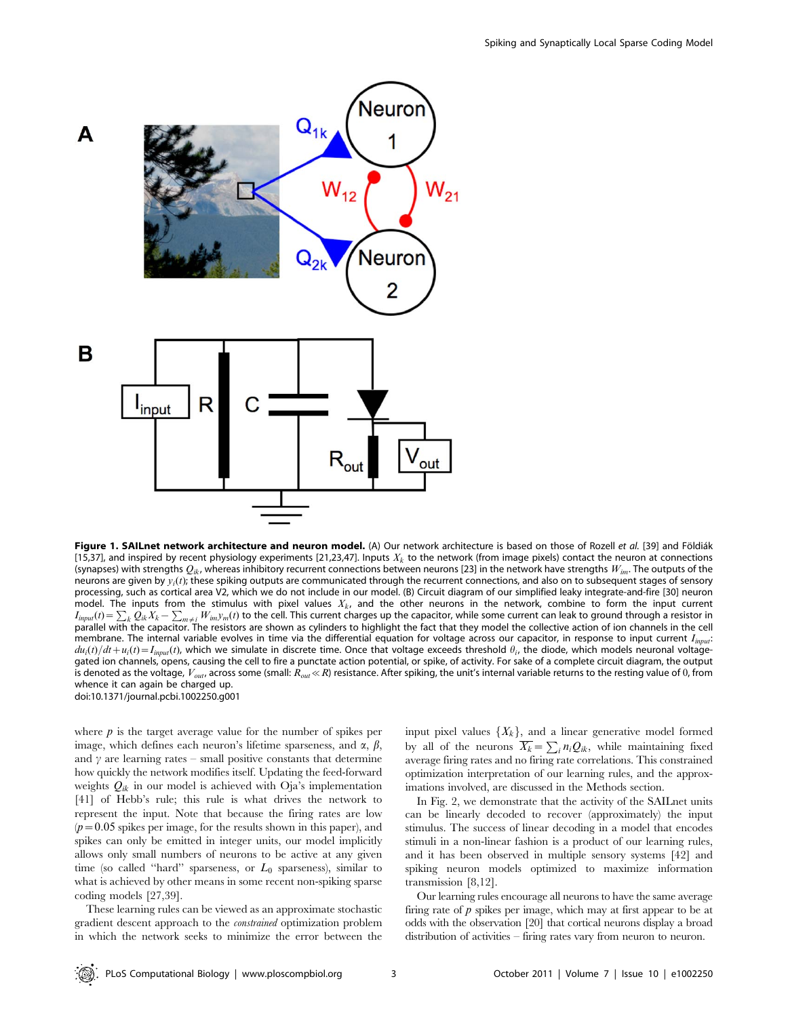

Figure 1. SAILnet network architecture and neuron model. (A) Our network architecture is based on those of Rozell et al. [39] and Földiák [15,37], and inspired by recent physiology experiments [21,23,47]. Inputs  $X_k$  to the network (from image pixels) contact the neuron at connections (synapses) with strengths  $Q_{ik}$ , whereas inhibitory recurrent connections between neurons [23] in the network have strengths  $W_{im}$ . The outputs of the neurons are given by  $y_i(t)$ ; these spiking outputs are communicated through the recurrent connections, and also on to subsequent stages of sensory processing, such as cortical area V2, which we do not include in our model. (B) Circuit diagram of our simplified leaky integrate-and-fire [30] neuron model. The inputs from the stimulus with pixel values  $X_k$ , and the other neurons in the network, combine to form the input current  $I_{input}(t) = \sum_{k} Q_{ik} X_{k} - \sum_{m \neq i} W_{im} y_{m}(t)$  to the cell. This current charges up the capacitor, while some current can leak to ground through a resistor in particle and the capacitor while some current can leak to ground t membrane. The internal variable evolves in time via the differential equation for voltage across our capacitor, in response to input current  $I_{input}$ :  $du_i(t)/dt + u_i(t) = I_{input}(t)$ , which we simulate in discrete time. Once that voltage exceeds threshold  $\theta_i$ , the diode, which models neuronal voltagegated ion channels, opens, causing the cell to fire a punctate action potential, or spike, of activity. For sake of a complete circuit diagram, the output is denoted as the voltage,  $V_{out}$ , across some (small:  $R_{out} \ll R$ ) resistance. After spiking, the unit's internal variable returns to the resting value of 0, from whence it can again be charged up. doi:10.1371/journal.pcbi.1002250.g001

where  $p$  is the target average value for the number of spikes per image, which defines each neuron's lifetime sparseness, and  $\alpha$ ,  $\beta$ , and  $\gamma$  are learning rates – small positive constants that determine how quickly the network modifies itself. Updating the feed-forward weights  $Q_{ik}$  in our model is achieved with Oja's implementation [41] of Hebb's rule; this rule is what drives the network to represent the input. Note that because the firing rates are low  $(p=0.05$  spikes per image, for the results shown in this paper), and spikes can only be emitted in integer units, our model implicitly allows only small numbers of neurons to be active at any given time (so called "hard" sparseness, or  $L_0$  sparseness), similar to what is achieved by other means in some recent non-spiking sparse coding models [27,39].

These learning rules can be viewed as an approximate stochastic gradient descent approach to the constrained optimization problem in which the network seeks to minimize the error between the

input pixel values  $\{X_k\}$ , and a linear generative model formed by all of the neurons  $\overline{X_k} = \sum_i n_i Q_k$ , while maintaining fixed average firing rates and no firing rate correlations. This constrained optimization interpretation of our learning rules, and the approximations involved, are discussed in the Methods section.

In Fig. 2, we demonstrate that the activity of the SAILnet units can be linearly decoded to recover (approximately) the input stimulus. The success of linear decoding in a model that encodes stimuli in a non-linear fashion is a product of our learning rules, and it has been observed in multiple sensory systems [42] and spiking neuron models optimized to maximize information transmission [8,12].

Our learning rules encourage all neurons to have the same average firing rate of  $p$  spikes per image, which may at first appear to be at odds with the observation [20] that cortical neurons display a broad distribution of activities – firing rates vary from neuron to neuron.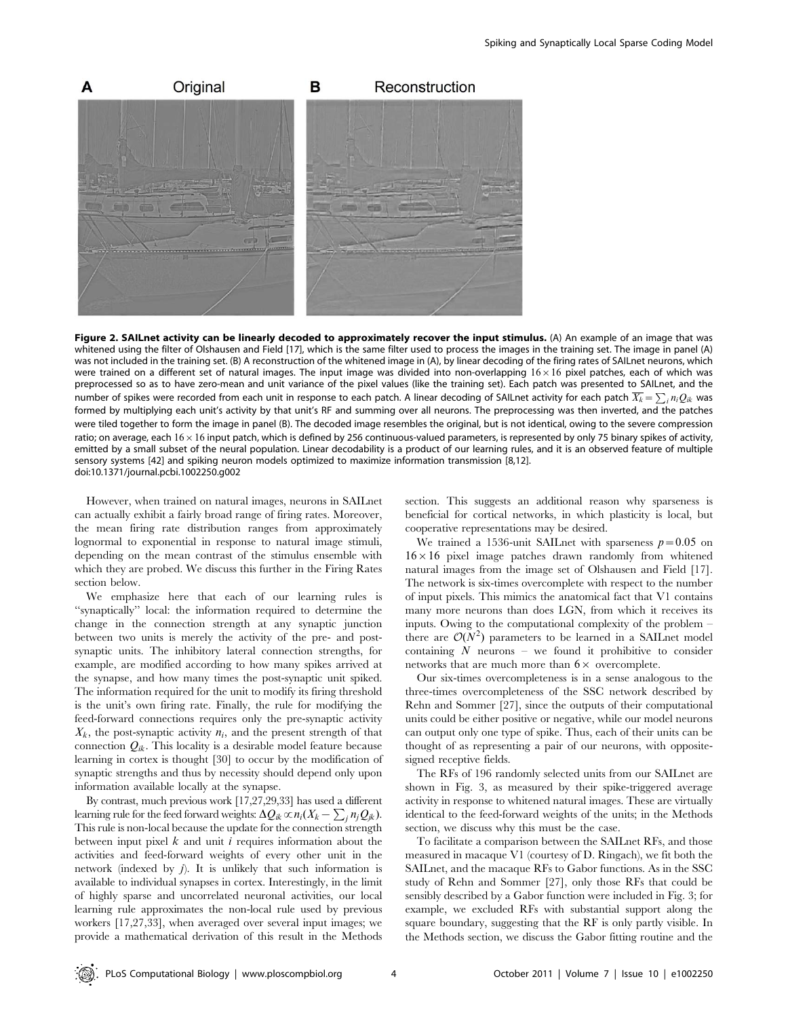

Figure 2. SAILnet activity can be linearly decoded to approximately recover the input stimulus. (A) An example of an image that was whitened using the filter of Olshausen and Field [17], which is the same filter used to process the images in the training set. The image in panel (A) was not included in the training set. (B) A reconstruction of the whitened image in (A), by linear decoding of the firing rates of SAILnet neurons, which were trained on a different set of natural images. The input image was divided into non-overlapping  $16 \times 16$  pixel patches, each of which was preprocessed so as to have zero-mean and unit variance of the pixel values (like the training set). Each patch was presented to SAILnet, and the number of spikes were recorded from each unit in response to each patch. A linear decoding of SAILnet activity for each patch  $\overline{X_k} = \sum_i n_i Q_{ik}$  was formed by multiplying each unit's activity by that unit's RF and summing over all neurons. The preprocessing was then inverted, and the patches were tiled together to form the image in panel (B). The decoded image resembles the original, but is not identical, owing to the severe compression ratio; on average, each  $16 \times 16$  input patch, which is defined by 256 continuous-valued parameters, is represented by only 75 binary spikes of activity, emitted by a small subset of the neural population. Linear decodability is a product of our learning rules, and it is an observed feature of multiple sensory systems [42] and spiking neuron models optimized to maximize information transmission [8,12]. doi:10.1371/journal.pcbi.1002250.g002

However, when trained on natural images, neurons in SAILnet can actually exhibit a fairly broad range of firing rates. Moreover, the mean firing rate distribution ranges from approximately lognormal to exponential in response to natural image stimuli, depending on the mean contrast of the stimulus ensemble with which they are probed. We discuss this further in the Firing Rates section below.

We emphasize here that each of our learning rules is ''synaptically'' local: the information required to determine the change in the connection strength at any synaptic junction between two units is merely the activity of the pre- and postsynaptic units. The inhibitory lateral connection strengths, for example, are modified according to how many spikes arrived at the synapse, and how many times the post-synaptic unit spiked. The information required for the unit to modify its firing threshold is the unit's own firing rate. Finally, the rule for modifying the feed-forward connections requires only the pre-synaptic activity  $X_k$ , the post-synaptic activity  $n_i$ , and the present strength of that connection  $Q_{ik}$ . This locality is a desirable model feature because learning in cortex is thought [30] to occur by the modification of synaptic strengths and thus by necessity should depend only upon information available locally at the synapse.

By contrast, much previous work [17,27,29,33] has used a different Learning rule for the feed forward weights:  $\Delta Q_{ik} \propto n_i(X_k - \sum_j n_j Q_{jk})$ . This rule is non-local because the update for the connection strength between input pixel  $k$  and unit  $i$  requires information about the activities and feed-forward weights of every other unit in the network (indexed by  $j$ ). It is unlikely that such information is available to individual synapses in cortex. Interestingly, in the limit of highly sparse and uncorrelated neuronal activities, our local learning rule approximates the non-local rule used by previous workers [17,27,33], when averaged over several input images; we provide a mathematical derivation of this result in the Methods

section. This suggests an additional reason why sparseness is beneficial for cortical networks, in which plasticity is local, but cooperative representations may be desired.

We trained a 1536-unit SAILnet with sparseness  $p=0.05$  on  $16\times16$  pixel image patches drawn randomly from whitened natural images from the image set of Olshausen and Field [17]. The network is six-times overcomplete with respect to the number of input pixels. This mimics the anatomical fact that V1 contains many more neurons than does LGN, from which it receives its inputs. Owing to the computational complexity of the problem – there are  $\mathcal{O}(N^2)$  parameters to be learned in a SAILnet model containing  $N$  neurons – we found it prohibitive to consider networks that are much more than  $6 \times$  overcomplete.

Our six-times overcompleteness is in a sense analogous to the three-times overcompleteness of the SSC network described by Rehn and Sommer [27], since the outputs of their computational units could be either positive or negative, while our model neurons can output only one type of spike. Thus, each of their units can be thought of as representing a pair of our neurons, with oppositesigned receptive fields.

The RFs of 196 randomly selected units from our SAILnet are shown in Fig. 3, as measured by their spike-triggered average activity in response to whitened natural images. These are virtually identical to the feed-forward weights of the units; in the Methods section, we discuss why this must be the case.

To facilitate a comparison between the SAILnet RFs, and those measured in macaque V1 (courtesy of D. Ringach), we fit both the SAILnet, and the macaque RFs to Gabor functions. As in the SSC study of Rehn and Sommer [27], only those RFs that could be sensibly described by a Gabor function were included in Fig. 3; for example, we excluded RFs with substantial support along the square boundary, suggesting that the RF is only partly visible. In the Methods section, we discuss the Gabor fitting routine and the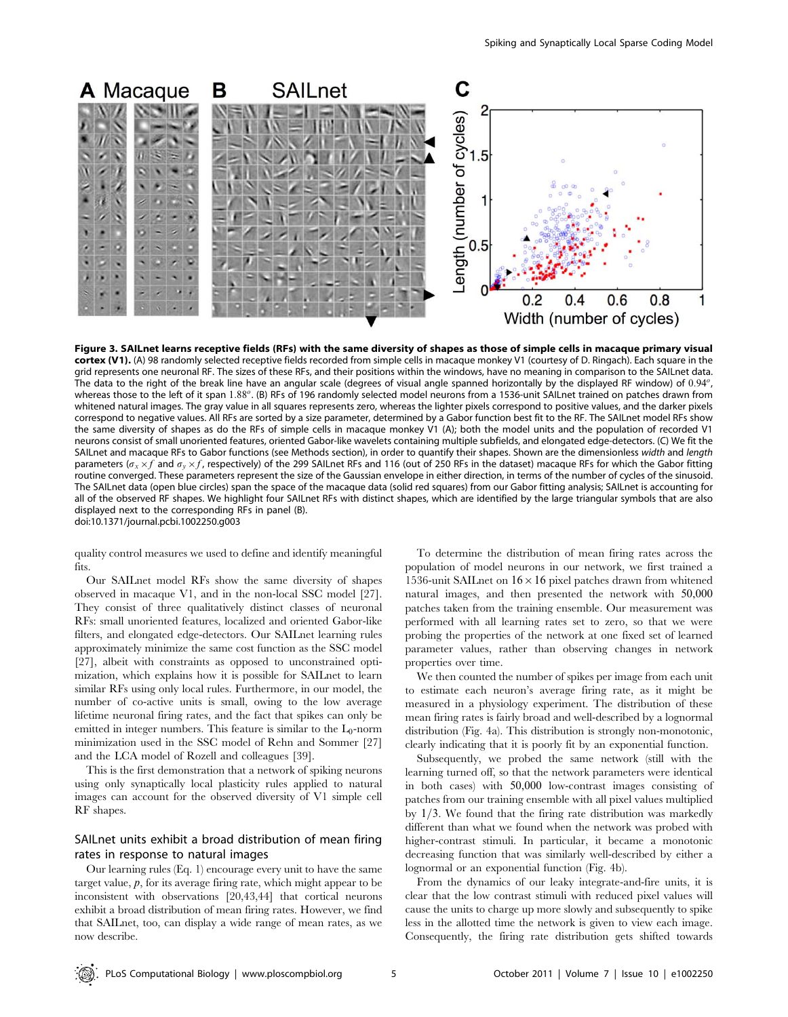

Figure 3. SAILnet learns receptive fields (RFs) with the same diversity of shapes as those of simple cells in macaque primary visual cortex (V1). (A) 98 randomly selected receptive fields recorded from simple cells in macaque monkey V1 (courtesy of D. Ringach). Each square in the grid represents one neuronal RF. The sizes of these RFs, and their positions within the windows, have no meaning in comparison to the SAILnet data. The data to the right of the break line have an angular scale (degrees of visual angle spanned horizontally by the displayed RF window) of  $0.94^\circ$ , whereas those to the left of it span 1.88°. (B) RFs of 196 randomly selected model neurons from a 1536-unit SAILnet trained on patches drawn from whitened natural images. The gray value in all squares represents zero, whereas the lighter pixels correspond to positive values, and the darker pixels correspond to negative values. All RFs are sorted by a size parameter, determined by a Gabor function best fit to the RF. The SAILnet model RFs show the same diversity of shapes as do the RFs of simple cells in macaque monkey V1 (A); both the model units and the population of recorded V1 neurons consist of small unoriented features, oriented Gabor-like wavelets containing multiple subfields, and elongated edge-detectors. (C) We fit the SAILnet and macaque RFs to Gabor functions (see Methods section), in order to quantify their shapes. Shown are the dimensionless width and length parameters ( $\sigma_x \times f$  and  $\sigma_y \times f$ , respectively) of the 299 SAILnet RFs and 116 (out of 250 RFs in the dataset) macaque RFs for which the Gabor fitting routine converged. These parameters represent the size of the Gaussian envelope in either direction, in terms of the number of cycles of the sinusoid. The SAILnet data (open blue circles) span the space of the macaque data (solid red squares) from our Gabor fitting analysis; SAILnet is accounting for all of the observed RF shapes. We highlight four SAILnet RFs with distinct shapes, which are identified by the large triangular symbols that are also displayed next to the corresponding RFs in panel (B). doi:10.1371/journal.pcbi.1002250.g003

quality control measures we used to define and identify meaningful fits.

Our SAILnet model RFs show the same diversity of shapes observed in macaque V1, and in the non-local SSC model [27]. They consist of three qualitatively distinct classes of neuronal RFs: small unoriented features, localized and oriented Gabor-like filters, and elongated edge-detectors. Our SAILnet learning rules approximately minimize the same cost function as the SSC model [27], albeit with constraints as opposed to unconstrained optimization, which explains how it is possible for SAILnet to learn similar RFs using only local rules. Furthermore, in our model, the number of co-active units is small, owing to the low average lifetime neuronal firing rates, and the fact that spikes can only be emitted in integer numbers. This feature is similar to the  $L_0$ -norm minimization used in the SSC model of Rehn and Sommer [27] and the LCA model of Rozell and colleagues [39].

This is the first demonstration that a network of spiking neurons using only synaptically local plasticity rules applied to natural images can account for the observed diversity of V1 simple cell RF shapes.

## SAILnet units exhibit a broad distribution of mean firing rates in response to natural images

Our learning rules (Eq. 1) encourage every unit to have the same target value,  $p$ , for its average firing rate, which might appear to be inconsistent with observations [20,43,44] that cortical neurons exhibit a broad distribution of mean firing rates. However, we find that SAILnet, too, can display a wide range of mean rates, as we now describe.

To determine the distribution of mean firing rates across the population of model neurons in our network, we first trained a 1536-unit SAILnet on  $16\times16$  pixel patches drawn from whitened natural images, and then presented the network with 50,000 patches taken from the training ensemble. Our measurement was performed with all learning rates set to zero, so that we were probing the properties of the network at one fixed set of learned parameter values, rather than observing changes in network properties over time.

We then counted the number of spikes per image from each unit to estimate each neuron's average firing rate, as it might be measured in a physiology experiment. The distribution of these mean firing rates is fairly broad and well-described by a lognormal distribution (Fig. 4a). This distribution is strongly non-monotonic, clearly indicating that it is poorly fit by an exponential function.

Subsequently, we probed the same network (still with the learning turned off, so that the network parameters were identical in both cases) with 50,000 low-contrast images consisting of patches from our training ensemble with all pixel values multiplied by  $1/3$ . We found that the firing rate distribution was markedly different than what we found when the network was probed with higher-contrast stimuli. In particular, it became a monotonic decreasing function that was similarly well-described by either a lognormal or an exponential function (Fig. 4b).

From the dynamics of our leaky integrate-and-fire units, it is clear that the low contrast stimuli with reduced pixel values will cause the units to charge up more slowly and subsequently to spike less in the allotted time the network is given to view each image. Consequently, the firing rate distribution gets shifted towards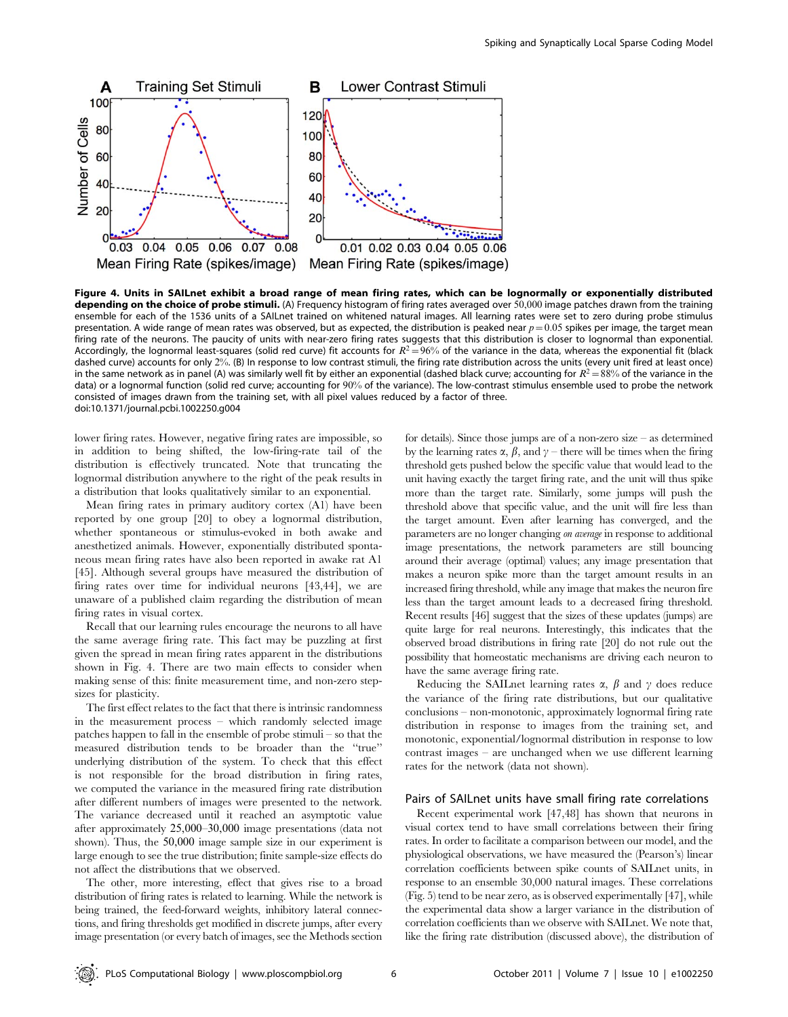

Figure 4. Units in SAILnet exhibit a broad range of mean firing rates, which can be lognormally or exponentially distributed depending on the choice of probe stimuli. (A) Frequency histogram of firing rates averaged over 50,000 image patches drawn from the training ensemble for each of the 1536 units of a SAILnet trained on whitened natural images. All learning rates were set to zero during probe stimulus presentation. A wide range of mean rates was observed, but as expected, the distribution is peaked near  $p=0.05$  spikes per image, the target mean firing rate of the neurons. The paucity of units with near-zero firing rates suggests that this distribution is closer to lognormal than exponential. Accordingly, the lognormal least-squares (solid red curve) fit accounts for  $R^2 = 96%$  of the variance in the data, whereas the exponential fit (black dashed curve) accounts for only 2%. (B) In response to low contrast stimuli, the firing rate distribution across the units (every unit fired at least once) in the same network as in panel (A) was similarly well fit by either an exponential (dashed black curve; accounting for  $R^2 = 88%$  of the variance in the data) or a lognormal function (solid red curve; accounting for 90% of the variance). The low-contrast stimulus ensemble used to probe the network consisted of images drawn from the training set, with all pixel values reduced by a factor of three. doi:10.1371/journal.pcbi.1002250.g004

lower firing rates. However, negative firing rates are impossible, so in addition to being shifted, the low-firing-rate tail of the distribution is effectively truncated. Note that truncating the lognormal distribution anywhere to the right of the peak results in a distribution that looks qualitatively similar to an exponential.

Mean firing rates in primary auditory cortex (A1) have been reported by one group [20] to obey a lognormal distribution, whether spontaneous or stimulus-evoked in both awake and anesthetized animals. However, exponentially distributed spontaneous mean firing rates have also been reported in awake rat A1 [45]. Although several groups have measured the distribution of firing rates over time for individual neurons [43,44], we are unaware of a published claim regarding the distribution of mean firing rates in visual cortex.

Recall that our learning rules encourage the neurons to all have the same average firing rate. This fact may be puzzling at first given the spread in mean firing rates apparent in the distributions shown in Fig. 4. There are two main effects to consider when making sense of this: finite measurement time, and non-zero stepsizes for plasticity.

The first effect relates to the fact that there is intrinsic randomness in the measurement process – which randomly selected image patches happen to fall in the ensemble of probe stimuli – so that the measured distribution tends to be broader than the ''true'' underlying distribution of the system. To check that this effect is not responsible for the broad distribution in firing rates, we computed the variance in the measured firing rate distribution after different numbers of images were presented to the network. The variance decreased until it reached an asymptotic value after approximately 25,000–30,000 image presentations (data not shown). Thus, the 50,000 image sample size in our experiment is large enough to see the true distribution; finite sample-size effects do not affect the distributions that we observed.

The other, more interesting, effect that gives rise to a broad distribution of firing rates is related to learning. While the network is being trained, the feed-forward weights, inhibitory lateral connections, and firing thresholds get modified in discrete jumps, after every image presentation (or every batch of images, see the Methods section for details). Since those jumps are of a non-zero size – as determined by the learning rates  $\alpha$ ,  $\beta$ , and  $\gamma$  – there will be times when the firing threshold gets pushed below the specific value that would lead to the unit having exactly the target firing rate, and the unit will thus spike more than the target rate. Similarly, some jumps will push the threshold above that specific value, and the unit will fire less than the target amount. Even after learning has converged, and the parameters are no longer changing on average in response to additional image presentations, the network parameters are still bouncing around their average (optimal) values; any image presentation that makes a neuron spike more than the target amount results in an increased firing threshold, while any image that makes the neuron fire less than the target amount leads to a decreased firing threshold. Recent results [46] suggest that the sizes of these updates (jumps) are quite large for real neurons. Interestingly, this indicates that the observed broad distributions in firing rate [20] do not rule out the possibility that homeostatic mechanisms are driving each neuron to have the same average firing rate.

Reducing the SAILnet learning rates  $\alpha$ ,  $\beta$  and  $\gamma$  does reduce the variance of the firing rate distributions, but our qualitative conclusions – non-monotonic, approximately lognormal firing rate distribution in response to images from the training set, and monotonic, exponential/lognormal distribution in response to low contrast images – are unchanged when we use different learning rates for the network (data not shown).

#### Pairs of SAILnet units have small firing rate correlations

Recent experimental work [47,48] has shown that neurons in visual cortex tend to have small correlations between their firing rates. In order to facilitate a comparison between our model, and the physiological observations, we have measured the (Pearson's) linear correlation coefficients between spike counts of SAILnet units, in response to an ensemble 30,000 natural images. These correlations (Fig. 5) tend to be near zero, as is observed experimentally [47], while the experimental data show a larger variance in the distribution of correlation coefficients than we observe with SAILnet. We note that, like the firing rate distribution (discussed above), the distribution of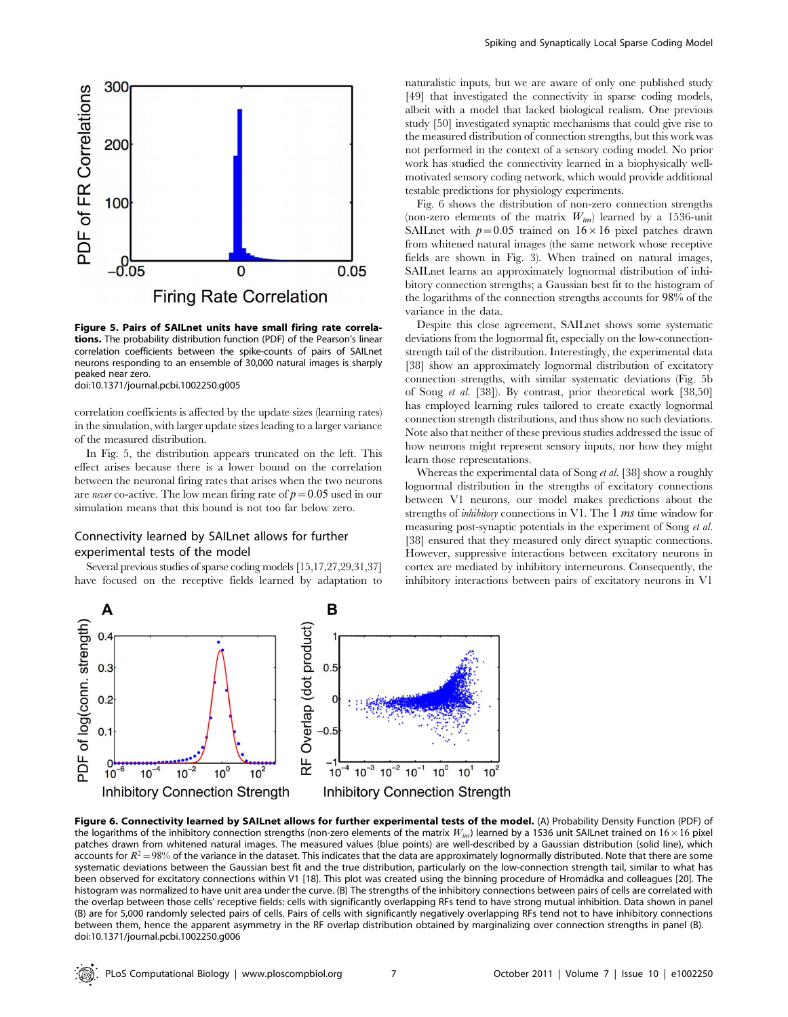

Figure 5. Pairs of SAILnet units have small firing rate correlations. The probability distribution function (PDF) of the Pearson's linear correlation coefficients between the spike-counts of pairs of SAILnet neurons responding to an ensemble of 30,000 natural images is sharply peaked near zero.

doi:10.1371/journal.pcbi.1002250.g005

correlation coefficients is affected by the update sizes (learning rates) in the simulation, with larger update sizes leading to a larger variance of the measured distribution.

In Fig. 5, the distribution appears truncated on the left. This effect arises because there is a lower bound on the correlation between the neuronal firing rates that arises when the two neurons are *never* co-active. The low mean firing rate of  $p=0.05$  used in our simulation means that this bound is not too far below zero.

## Connectivity learned by SAILnet allows for further experimental tests of the model

Several previous studies of sparse coding models [15,17,27,29,31,37] have focused on the receptive fields learned by adaptation to naturalistic inputs, but we are aware of only one published study [49] that investigated the connectivity in sparse coding models, albeit with a model that lacked biological realism. One previous study [50] investigated synaptic mechanisms that could give rise to the measured distribution of connection strengths, but this work was not performed in the context of a sensory coding model. No prior work has studied the connectivity learned in a biophysically wellmotivated sensory coding network, which would provide additional testable predictions for physiology experiments.

Fig. 6 shows the distribution of non-zero connection strengths (non-zero elements of the matrix  $W_{im}$ ) learned by a 1536-unit SAILnet with  $p=0.05$  trained on  $16\times16$  pixel patches drawn from whitened natural images (the same network whose receptive fields are shown in Fig. 3). When trained on natural images, SAILnet learns an approximately lognormal distribution of inhibitory connection strengths; a Gaussian best fit to the histogram of the logarithms of the connection strengths accounts for 98% of the variance in the data.

Despite this close agreement, SAILnet shows some systematic deviations from the lognormal fit, especially on the low-connectionstrength tail of the distribution. Interestingly, the experimental data [38] show an approximately lognormal distribution of excitatory connection strengths, with similar systematic deviations (Fig. 5b of Song et al. [38]). By contrast, prior theoretical work [38,50] has employed learning rules tailored to create exactly lognormal connection strength distributions, and thus show no such deviations. Note also that neither of these previous studies addressed the issue of how neurons might represent sensory inputs, nor how they might learn those representations.

Whereas the experimental data of Song et al. [38] show a roughly lognormal distribution in the strengths of excitatory connections between V1 neurons, our model makes predictions about the strengths of *inhibitory* connections in V1. The 1 ms time window for measuring post-synaptic potentials in the experiment of Song et al. [38] ensured that they measured only direct synaptic connections. However, suppressive interactions between excitatory neurons in cortex are mediated by inhibitory interneurons. Consequently, the inhibitory interactions between pairs of excitatory neurons in V1



Figure 6. Connectivity learned by SAILnet allows for further experimental tests of the model. (A) Probability Density Function (PDF) of the logarithms of the inhibitory connection strengths (non-zero elements of the matrix  $W_{im}$ ) learned by a 1536 unit SAILnet trained on  $16 \times 16$  pixel patches drawn from whitened natural images. The measured values (blue points) are well-described by a Gaussian distribution (solid line), which accounts for  $R^2 = 98%$  of the variance in the dataset. This indicates that the data are approximately lognormally distributed. Note that there are some systematic deviations between the Gaussian best fit and the true distribution, particularly on the low-connection strength tail, similar to what has been observed for excitatory connections within V1 [18]. This plot was created using the binning procedure of Hromádka and colleagues [20]. The histogram was normalized to have unit area under the curve. (B) The strengths of the inhibitory connections between pairs of cells are correlated with the overlap between those cells' receptive fields: cells with significantly overlapping RFs tend to have strong mutual inhibition. Data shown in panel (B) are for 5,000 randomly selected pairs of cells. Pairs of cells with significantly negatively overlapping RFs tend not to have inhibitory connections between them, hence the apparent asymmetry in the RF overlap distribution obtained by marginalizing over connection strengths in panel (B). doi:10.1371/journal.pcbi.1002250.g006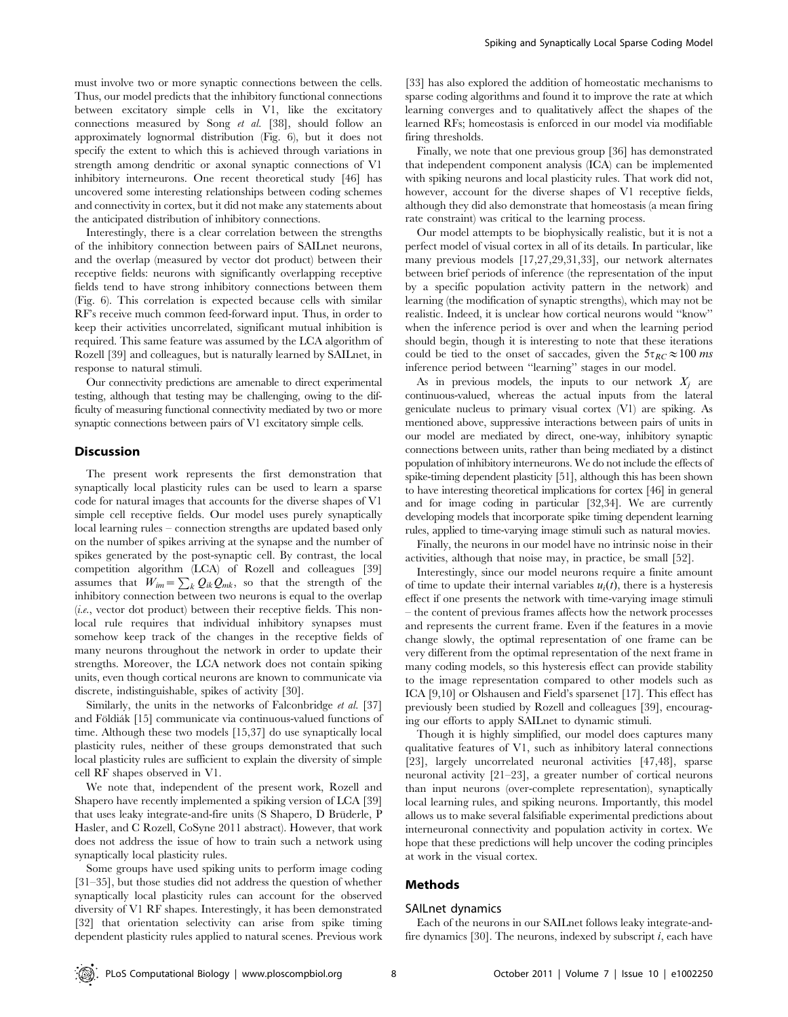must involve two or more synaptic connections between the cells. Thus, our model predicts that the inhibitory functional connections between excitatory simple cells in V1, like the excitatory connections measured by Song et al. [38], should follow an approximately lognormal distribution (Fig. 6), but it does not specify the extent to which this is achieved through variations in strength among dendritic or axonal synaptic connections of V1 inhibitory interneurons. One recent theoretical study [46] has uncovered some interesting relationships between coding schemes and connectivity in cortex, but it did not make any statements about the anticipated distribution of inhibitory connections.

Interestingly, there is a clear correlation between the strengths of the inhibitory connection between pairs of SAILnet neurons, and the overlap (measured by vector dot product) between their receptive fields: neurons with significantly overlapping receptive fields tend to have strong inhibitory connections between them (Fig. 6). This correlation is expected because cells with similar RF's receive much common feed-forward input. Thus, in order to keep their activities uncorrelated, significant mutual inhibition is required. This same feature was assumed by the LCA algorithm of Rozell [39] and colleagues, but is naturally learned by SAILnet, in response to natural stimuli.

Our connectivity predictions are amenable to direct experimental testing, although that testing may be challenging, owing to the difficulty of measuring functional connectivity mediated by two or more synaptic connections between pairs of V1 excitatory simple cells.

#### **Discussion**

The present work represents the first demonstration that synaptically local plasticity rules can be used to learn a sparse code for natural images that accounts for the diverse shapes of V1 simple cell receptive fields. Our model uses purely synaptically local learning rules – connection strengths are updated based only on the number of spikes arriving at the synapse and the number of spikes generated by the post-synaptic cell. By contrast, the local competition algorithm (LCA) of Rozell and colleagues [39] assumes that  $W_{im} = \sum_k Q_{ik}Q_{mk}$ , so that the strength of the inhibitory connection between two neurons is equal to the overlap  $(i.e., vector dot product)$  between their receptive fields. This nonlocal rule requires that individual inhibitory synapses must somehow keep track of the changes in the receptive fields of many neurons throughout the network in order to update their strengths. Moreover, the LCA network does not contain spiking units, even though cortical neurons are known to communicate via discrete, indistinguishable, spikes of activity [30].

Similarly, the units in the networks of Falconbridge *et al.* [37] and Földiák [15] communicate via continuous-valued functions of time. Although these two models [15,37] do use synaptically local plasticity rules, neither of these groups demonstrated that such local plasticity rules are sufficient to explain the diversity of simple cell RF shapes observed in V1.

We note that, independent of the present work, Rozell and Shapero have recently implemented a spiking version of LCA [39] that uses leaky integrate-and-fire units (S Shapero, D Brüderle, P Hasler, and C Rozell, CoSyne 2011 abstract). However, that work does not address the issue of how to train such a network using synaptically local plasticity rules.

Some groups have used spiking units to perform image coding [31–35], but those studies did not address the question of whether synaptically local plasticity rules can account for the observed diversity of V1 RF shapes. Interestingly, it has been demonstrated [32] that orientation selectivity can arise from spike timing dependent plasticity rules applied to natural scenes. Previous work

[33] has also explored the addition of homeostatic mechanisms to sparse coding algorithms and found it to improve the rate at which learning converges and to qualitatively affect the shapes of the learned RFs; homeostasis is enforced in our model via modifiable firing thresholds.

Finally, we note that one previous group [36] has demonstrated that independent component analysis (ICA) can be implemented with spiking neurons and local plasticity rules. That work did not, however, account for the diverse shapes of V1 receptive fields, although they did also demonstrate that homeostasis (a mean firing rate constraint) was critical to the learning process.

Our model attempts to be biophysically realistic, but it is not a perfect model of visual cortex in all of its details. In particular, like many previous models [17,27,29,31,33], our network alternates between brief periods of inference (the representation of the input by a specific population activity pattern in the network) and learning (the modification of synaptic strengths), which may not be realistic. Indeed, it is unclear how cortical neurons would ''know'' when the inference period is over and when the learning period should begin, though it is interesting to note that these iterations could be tied to the onset of saccades, given the  $5\tau_{RC} \approx 100$  ms inference period between ''learning'' stages in our model.

As in previous models, the inputs to our network  $X_i$  are continuous-valued, whereas the actual inputs from the lateral geniculate nucleus to primary visual cortex (V1) are spiking. As mentioned above, suppressive interactions between pairs of units in our model are mediated by direct, one-way, inhibitory synaptic connections between units, rather than being mediated by a distinct population of inhibitory interneurons. We do not include the effects of spike-timing dependent plasticity [51], although this has been shown to have interesting theoretical implications for cortex [46] in general and for image coding in particular [32,34]. We are currently developing models that incorporate spike timing dependent learning rules, applied to time-varying image stimuli such as natural movies.

Finally, the neurons in our model have no intrinsic noise in their activities, although that noise may, in practice, be small [52].

Interestingly, since our model neurons require a finite amount of time to update their internal variables  $u_i(t)$ , there is a hysteresis effect if one presents the network with time-varying image stimuli – the content of previous frames affects how the network processes and represents the current frame. Even if the features in a movie change slowly, the optimal representation of one frame can be very different from the optimal representation of the next frame in many coding models, so this hysteresis effect can provide stability to the image representation compared to other models such as ICA [9,10] or Olshausen and Field's sparsenet [17]. This effect has previously been studied by Rozell and colleagues [39], encouraging our efforts to apply SAILnet to dynamic stimuli.

Though it is highly simplified, our model does captures many qualitative features of V1, such as inhibitory lateral connections [23], largely uncorrelated neuronal activities [47,48], sparse neuronal activity [21–23], a greater number of cortical neurons than input neurons (over-complete representation), synaptically local learning rules, and spiking neurons. Importantly, this model allows us to make several falsifiable experimental predictions about interneuronal connectivity and population activity in cortex. We hope that these predictions will help uncover the coding principles at work in the visual cortex.

## Methods

#### SAILnet dynamics

Each of the neurons in our SAILnet follows leaky integrate-andfire dynamics  $[30]$ . The neurons, indexed by subscript i, each have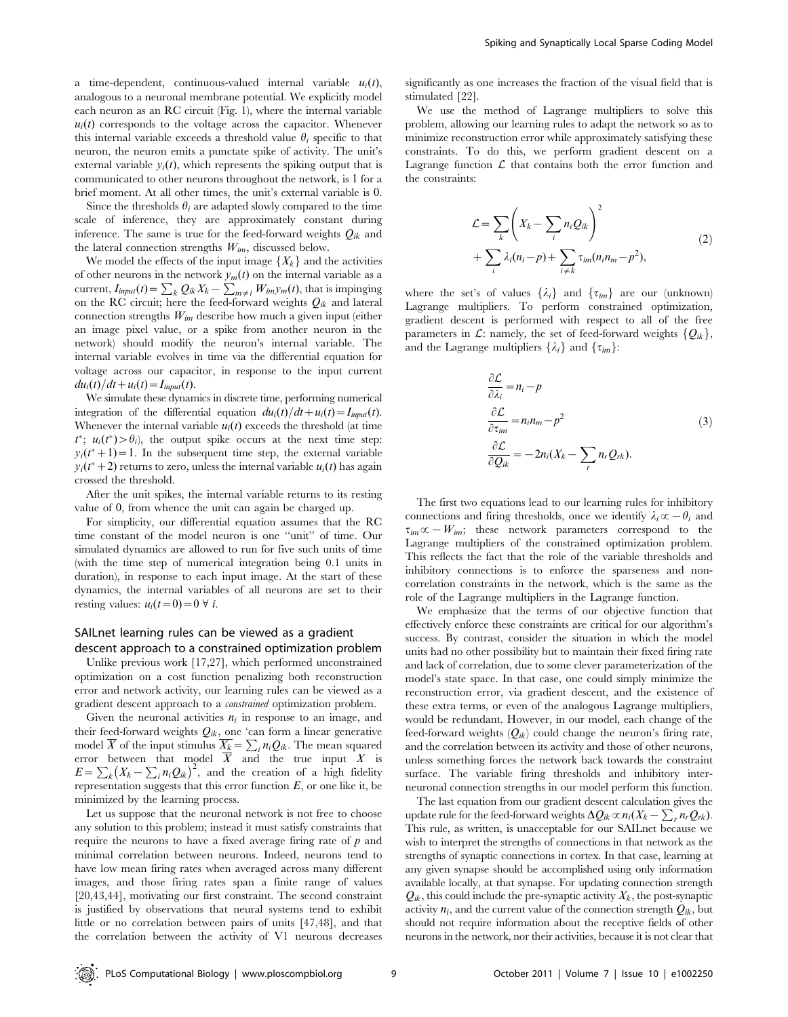a time-dependent, continuous-valued internal variable  $u_i(t)$ , analogous to a neuronal membrane potential. We explicitly model each neuron as an RC circuit (Fig. 1), where the internal variable  $u_i(t)$  corresponds to the voltage across the capacitor. Whenever this internal variable exceeds a threshold value  $\theta_i$  specific to that neuron, the neuron emits a punctate spike of activity. The unit's external variable  $y_i(t)$ , which represents the spiking output that is communicated to other neurons throughout the network, is 1 for a brief moment. At all other times, the unit's external variable is 0.

Since the thresholds  $\theta_i$  are adapted slowly compared to the time scale of inference, they are approximately constant during inference. The same is true for the feed-forward weights  $Q_{ik}$  and the lateral connection strengths  $W_{im}$ , discussed below.

We model the effects of the input image  $\{X_k\}$  and the activities of other neurons in the network  $y_m(t)$  on the internal variable as a current,  $I_{input}(t) = \sum_{k} Q_{ik} X_{k} - \sum_{m \neq i} W_{im} y_{m}(t)$ , that is impinging on the RC circuit; here the feed-forward weights  $Q_{ik}$  and lateral connection strengths  $W_{im}$  describe how much a given input (either an image pixel value, or a spike from another neuron in the network) should modify the neuron's internal variable. The internal variable evolves in time via the differential equation for voltage across our capacitor, in response to the input current  $du_i(t)/dt+u_i(t)=I_{input}(t).$ 

We simulate these dynamics in discrete time, performing numerical integration of the differential equation  $du_i(t)/dt+u_i(t)=I_{input}(t)$ . Whenever the internal variable  $u_i(t)$  exceeds the threshold (at time  $t^*$ ;  $u_i(t^*) > \theta_i$ , the output spike occurs at the next time step:  $y_i(t^*+1)=1$ . In the subsequent time step, the external variable  $y_i(t^* + 2)$  returns to zero, unless the internal variable  $u_i(t)$  has again crossed the threshold.

After the unit spikes, the internal variable returns to its resting value of 0, from whence the unit can again be charged up.

For simplicity, our differential equation assumes that the RC time constant of the model neuron is one ''unit'' of time. Our simulated dynamics are allowed to run for five such units of time (with the time step of numerical integration being 0.1 units in duration), in response to each input image. At the start of these dynamics, the internal variables of all neurons are set to their resting values:  $u_i(t=0) = 0 \ \forall i$ .

## SAILnet learning rules can be viewed as a gradient descent approach to a constrained optimization problem

Unlike previous work [17,27], which performed unconstrained optimization on a cost function penalizing both reconstruction error and network activity, our learning rules can be viewed as a gradient descent approach to a constrained optimization problem.

Given the neuronal activities  $n_i$  in response to an image, and their feed-forward weights  $Q_{ik}$ , one 'can form a linear generative model  $\overline{X}$  of the input stimulus  $\overline{X_k} = \sum_i n_i Q_{ik}$ . The mean squared error between that model X and the true input X is  $E = \sum_{k} (X_k - \sum_{i} n_i Q_{ik})^2$ , and the creation of a high fidelity representation suggests that this error function  $E$ , or one like it, be minimized by the learning process.

Let us suppose that the neuronal network is not free to choose any solution to this problem; instead it must satisfy constraints that require the neurons to have a fixed average firing rate of  $p$  and minimal correlation between neurons. Indeed, neurons tend to have low mean firing rates when averaged across many different images, and those firing rates span a finite range of values [20,43,44], motivating our first constraint. The second constraint is justified by observations that neural systems tend to exhibit little or no correlation between pairs of units [47,48], and that the correlation between the activity of V1 neurons decreases

significantly as one increases the fraction of the visual field that is stimulated [22].

We use the method of Lagrange multipliers to solve this problem, allowing our learning rules to adapt the network so as to minimize reconstruction error while approximately satisfying these constraints. To do this, we perform gradient descent on a Lagrange function  $\mathcal L$  that contains both the error function and the constraints:

$$
\mathcal{L} = \sum_{k} \left( X_k - \sum_{i} n_i Q_{ik} \right)^2 + \sum_{i} \lambda_i (n_i - p) + \sum_{i \neq k} \tau_{im} (n_i n_m - p^2), \tag{2}
$$

where the set's of values  $\{\lambda_i\}$  and  $\{\tau_{im}\}$  are our (unknown) Lagrange multipliers. To perform constrained optimization, gradient descent is performed with respect to all of the free parameters in  $\mathcal{L}$ : namely, the set of feed-forward weights  $\{Q_{ik}\},$ and the Lagrange multipliers  $\{\lambda_i\}$  and  $\{\tau_{im}\}$ :

$$
\frac{\partial \mathcal{L}}{\partial \lambda_i} = n_i - p
$$
  
\n
$$
\frac{\partial \mathcal{L}}{\partial \tau_{im}} = n_i n_m - p^2
$$
  
\n
$$
\frac{\partial \mathcal{L}}{\partial Q_{ik}} = -2n_i (X_k - \sum_r n_r Q_{rk}).
$$
\n(3)

The first two equations lead to our learning rules for inhibitory connections and firing thresholds, once we identify  $\lambda_i \infty - \theta_i$  and  $\tau_{im} \propto -W_{im}$ ; these network parameters correspond to the Lagrange multipliers of the constrained optimization problem. This reflects the fact that the role of the variable thresholds and inhibitory connections is to enforce the sparseness and noncorrelation constraints in the network, which is the same as the role of the Lagrange multipliers in the Lagrange function.

We emphasize that the terms of our objective function that effectively enforce these constraints are critical for our algorithm's success. By contrast, consider the situation in which the model units had no other possibility but to maintain their fixed firing rate and lack of correlation, due to some clever parameterization of the model's state space. In that case, one could simply minimize the reconstruction error, via gradient descent, and the existence of these extra terms, or even of the analogous Lagrange multipliers, would be redundant. However, in our model, each change of the feed-forward weights  $(Q_{ik})$  could change the neuron's firing rate, and the correlation between its activity and those of other neurons, unless something forces the network back towards the constraint surface. The variable firing thresholds and inhibitory interneuronal connection strengths in our model perform this function.

The last equation from our gradient descent calculation gives the update rule for the feed-forward weights  $\Delta Q_{ik} \propto n_i(X_k - \sum_r n_r Q_{rk})$ . This rule, as written, is unacceptable for our SAILnet because we wish to interpret the strengths of connections in that network as the strengths of synaptic connections in cortex. In that case, learning at any given synapse should be accomplished using only information available locally, at that synapse. For updating connection strength  $Q_{ik}$ , this could include the pre-synaptic activity  $X_k$ , the post-synaptic activity  $n_i$ , and the current value of the connection strength  $Q_{ik}$ , but should not require information about the receptive fields of other neurons in the network, nor their activities, because it is not clear that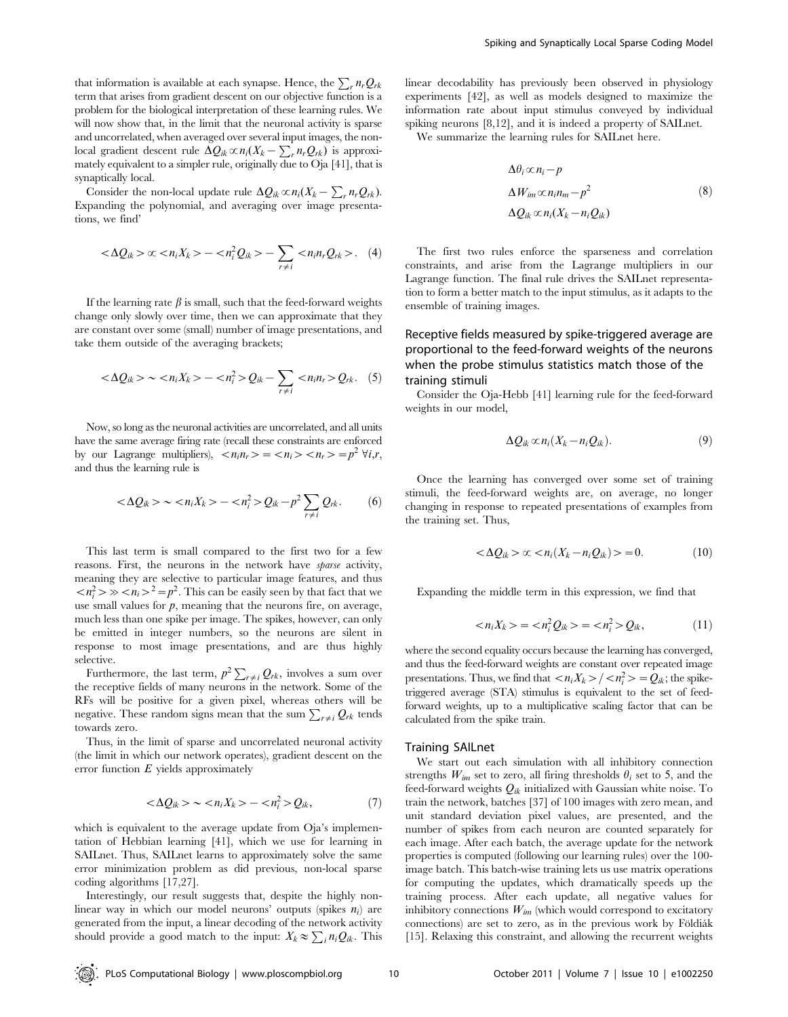that information is available at each synapse. Hence, the  $\sum_{r} n_r Q_{rk}$ term that arises from gradient descent on our objective function is a problem for the biological interpretation of these learning rules. We will now show that, in the limit that the neuronal activity is sparse and uncorrelated, when averaged over several input images, the nonlocal gradient descent rule  $\Delta Q_{ik} \propto n_i(X_k - \sum_r n_r Q_{rk})$  is approximately equivalent to a simpler rule, originally due to Oja [41], that is synaptically local.

Consider the non-local update rule  $\Delta Q_{ik} \propto n_i(X_k - \sum_r n_r Q_{rk})$ . Expanding the polynomial, and averaging over image presentations, we find'

$$
\langle \Delta Q_{ik} \rangle \propto \langle n_i X_k \rangle - \langle n_i^2 Q_{ik} \rangle - \sum_{r \neq i} \langle n_i n_r Q_{rk} \rangle. \tag{4}
$$

If the learning rate  $\beta$  is small, such that the feed-forward weights change only slowly over time, then we can approximate that they are constant over some (small) number of image presentations, and take them outside of the averaging brackets;

$$
\langle \Delta Q_{ik} \rangle \sim \langle n_i X_k \rangle - \langle n_i^2 \rangle Q_{ik} - \sum_{r \neq i} \langle n_i n_r \rangle Q_{rk}.
$$
 (5)

Now, so long as the neuronal activities are uncorrelated, and all units have the same average firing rate (recall these constraints are enforced by our Lagrange multipliers),  $\langle n_i n_r \rangle = \langle n_i \rangle \langle n_r \rangle = p^2 \forall i, r$ , and thus the learning rule is

$$
\langle \Delta Q_{ik} \rangle \sim \langle n_i X_k \rangle - \langle n_i^2 \rangle Q_{ik} - p^2 \sum_{r \neq i} Q_{rk}.
$$
 (6)

This last term is small compared to the first two for a few reasons. First, the neurons in the network have sparse activity, meaning they are selective to particular image features, and thus  $\langle n_i^2 \rangle \gg \langle n_i \rangle^2 = p^2$ . This can be easily seen by that fact that we use small values for  $p$ , meaning that the neurons fire, on average, much less than one spike per image. The spikes, however, can only be emitted in integer numbers, so the neurons are silent in response to most image presentations, and are thus highly selective.

Furthermore, the last term,  $p^2 \sum_{r \neq i} Q_{rk}$ , involves a sum over the receptive fields of many neurons in the network. Some of the RFs will be positive for a given pixel, whereas others will be negative. These random signs mean that the sum  $\sum_{r \neq i} Q_{rk}$  tends towards zero.

Thus, in the limit of sparse and uncorrelated neuronal activity (the limit in which our network operates), gradient descent on the error function  $E$  yields approximately

$$
\langle \Delta Q_{ik} \rangle \sim \langle n_i X_k \rangle - \langle n_i^2 \rangle Q_{ik}, \tag{7}
$$

which is equivalent to the average update from Oja's implementation of Hebbian learning [41], which we use for learning in SAILnet. Thus, SAILnet learns to approximately solve the same error minimization problem as did previous, non-local sparse coding algorithms [17,27].

Interestingly, our result suggests that, despite the highly nonlinear way in which our model neurons' outputs (spikes  $n_i$ ) are generated from the input, a linear decoding of the network activity should provide a good match to the input:  $X_k \approx \sum_i n_i Q_{ik}$ . This linear decodability has previously been observed in physiology experiments [42], as well as models designed to maximize the information rate about input stimulus conveyed by individual spiking neurons [8,12], and it is indeed a property of SAILnet.

We summarize the learning rules for SAILnet here.

$$
\Delta \theta_i \propto n_i - p
$$
  
\n
$$
\Delta W_{im} \propto n_i n_m - p^2
$$
  
\n
$$
\Delta Q_{ik} \propto n_i (X_k - n_i Q_{ik})
$$
\n(8)

The first two rules enforce the sparseness and correlation constraints, and arise from the Lagrange multipliers in our Lagrange function. The final rule drives the SAILnet representation to form a better match to the input stimulus, as it adapts to the ensemble of training images.

Receptive fields measured by spike-triggered average are proportional to the feed-forward weights of the neurons when the probe stimulus statistics match those of the training stimuli

Consider the Oja-Hebb [41] learning rule for the feed-forward weights in our model,

$$
\Delta Q_{ik} \propto n_i (X_k - n_i Q_{ik}). \tag{9}
$$

Once the learning has converged over some set of training stimuli, the feed-forward weights are, on average, no longer changing in response to repeated presentations of examples from the training set. Thus,

$$
\langle \Delta Q_{ik} \rangle \propto \langle n_i (X_k - n_i Q_{ik}) \rangle = 0. \tag{10}
$$

Expanding the middle term in this expression, we find that

$$
\langle n_i X_k \rangle = \langle n_i^2 Q_{ik} \rangle = \langle n_i^2 \rangle Q_{ik}, \tag{11}
$$

where the second equality occurs because the learning has converged, and thus the feed-forward weights are constant over repeated image presentations. Thus, we find that  $\langle n_i X_k \rangle / \langle n_i^2 \rangle = Q_{ik}$ ; the spiketriggered average (STA) stimulus is equivalent to the set of feedforward weights, up to a multiplicative scaling factor that can be calculated from the spike train.

#### Training SAILnet

We start out each simulation with all inhibitory connection strengths  $W_{im}$  set to zero, all firing thresholds  $\theta_i$  set to 5, and the feed-forward weights  $Q_{ik}$  initialized with Gaussian white noise. To train the network, batches [37] of 100 images with zero mean, and unit standard deviation pixel values, are presented, and the number of spikes from each neuron are counted separately for each image. After each batch, the average update for the network properties is computed (following our learning rules) over the 100 image batch. This batch-wise training lets us use matrix operations for computing the updates, which dramatically speeds up the training process. After each update, all negative values for inhibitory connections  $W_{im}$  (which would correspond to excitatory connections) are set to zero, as in the previous work by Földiák [15]. Relaxing this constraint, and allowing the recurrent weights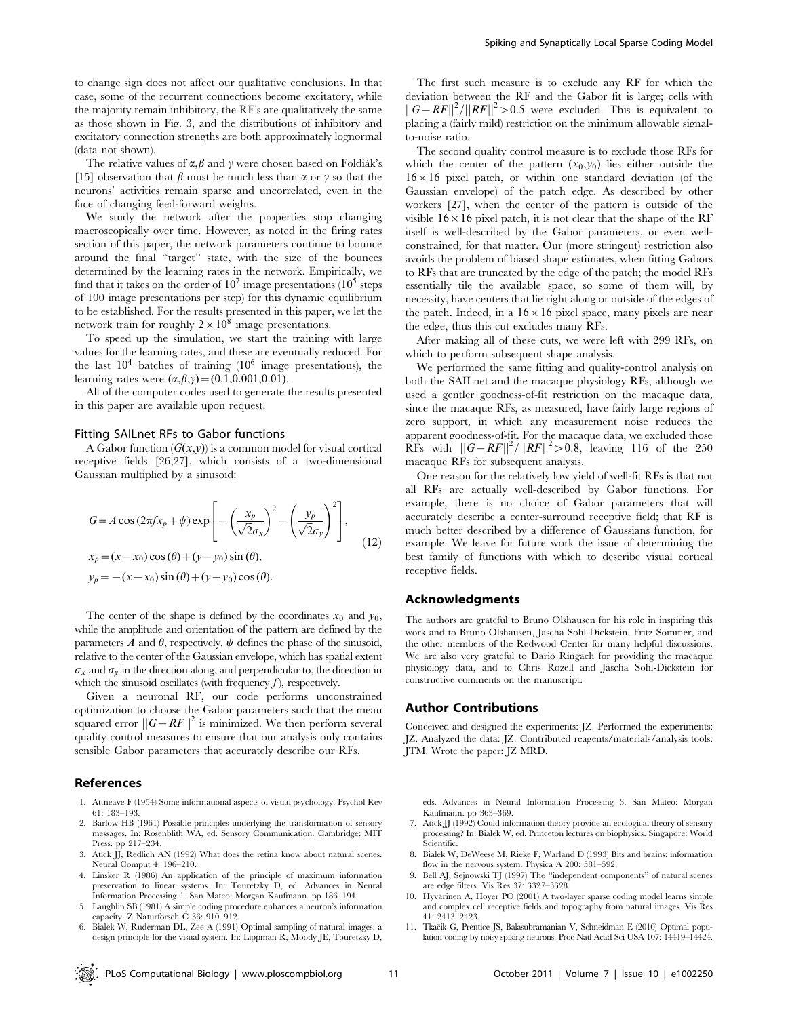to change sign does not affect our qualitative conclusions. In that case, some of the recurrent connections become excitatory, while the majority remain inhibitory, the RF's are qualitatively the same as those shown in Fig. 3, and the distributions of inhibitory and excitatory connection strengths are both approximately lognormal (data not shown).

The relative values of  $\alpha, \beta$  and  $\gamma$  were chosen based on Földiák's [15] observation that  $\beta$  must be much less than  $\alpha$  or  $\gamma$  so that the neurons' activities remain sparse and uncorrelated, even in the face of changing feed-forward weights.

We study the network after the properties stop changing macroscopically over time. However, as noted in the firing rates section of this paper, the network parameters continue to bounce around the final ''target'' state, with the size of the bounces determined by the learning rates in the network. Empirically, we find that it takes on the order of  $10^7$  image presentations ( $10^5$  steps of 100 image presentations per step) for this dynamic equilibrium to be established. For the results presented in this paper, we let the network train for roughly  $2 \times 10^8$  image presentations.

To speed up the simulation, we start the training with large values for the learning rates, and these are eventually reduced. For the last  $10^4$  batches of training  $(10^6)$  image presentations), the learning rates were  $(\alpha, \beta, \gamma) = (0.1, 0.001, 0.01)$ .

All of the computer codes used to generate the results presented in this paper are available upon request.

#### Fitting SAILnet RFs to Gabor functions

A Gabor function  $(G(x, y))$  is a common model for visual cortical receptive fields [26,27], which consists of a two-dimensional Gaussian multiplied by a sinusoid:

$$
G = A \cos(2\pi f x_p + \psi) \exp\left[ -\left(\frac{x_p}{\sqrt{2}\sigma_x}\right)^2 - \left(\frac{y_p}{\sqrt{2}\sigma_y}\right)^2 \right],
$$
  
\n
$$
x_p = (x - x_0) \cos(\theta) + (y - y_0) \sin(\theta),
$$
  
\n
$$
y_p = -(x - x_0) \sin(\theta) + (y - y_0) \cos(\theta).
$$
\n(12)

The center of the shape is defined by the coordinates  $x_0$  and  $y_0$ , while the amplitude and orientation of the pattern are defined by the parameters A and  $\theta$ , respectively.  $\psi$  defines the phase of the sinusoid, relative to the center of the Gaussian envelope, which has spatial extent  $\sigma_x$  and  $\sigma_y$  in the direction along, and perpendicular to, the direction in which the sinusoid oscillates (with frequency  $f$ ), respectively.

Given a neuronal RF, our code performs unconstrained optimization to choose the Gabor parameters such that the mean squared error  $||G-RF||^2$  is minimized. We then perform several quality control measures to ensure that our analysis only contains sensible Gabor parameters that accurately describe our RFs.

## References

- 1. Attneave F (1954) Some informational aspects of visual psychology. Psychol Rev 61: 183–193.
- 2. Barlow HB (1961) Possible principles underlying the transformation of sensory messages. In: Rosenblith WA, ed. Sensory Communication. Cambridge: MIT Press. pp 217–234.
- 3. Atick JJ, Redlich AN (1992) What does the retina know about natural scenes. Neural Comput 4: 196–210.
- 4. Linsker R (1986) An application of the principle of maximum information preservation to linear systems. In: Touretzky D, ed. Advances in Neural Information Processing 1. San Mateo: Morgan Kaufmann. pp 186–194.
- 5. Laughlin SB (1981) A simple coding procedure enhances a neuron's information capacity. Z Naturforsch C 36: 910–912.
- 6. Bialek W, Ruderman DL, Zee A (1991) Optimal sampling of natural images: a design principle for the visual system. In: Lippman R, Moody JE, Touretzky D,

The first such measure is to exclude any RF for which the deviation between the RF and the Gabor fit is large; cells with  $\left\|G - RF\right\|^2 / \left\|RF\right\|^2 > 0.5$  were excluded. This is equivalent to placing a (fairly mild) restriction on the minimum allowable signalto-noise ratio.

The second quality control measure is to exclude those RFs for which the center of the pattern  $(x_0, y_0)$  lies either outside the  $16 \times 16$  pixel patch, or within one standard deviation (of the Gaussian envelope) of the patch edge. As described by other workers [27], when the center of the pattern is outside of the visible  $16\times16$  pixel patch, it is not clear that the shape of the RF itself is well-described by the Gabor parameters, or even wellconstrained, for that matter. Our (more stringent) restriction also avoids the problem of biased shape estimates, when fitting Gabors to RFs that are truncated by the edge of the patch; the model RFs essentially tile the available space, so some of them will, by necessity, have centers that lie right along or outside of the edges of the patch. Indeed, in a  $16\times16$  pixel space, many pixels are near the edge, thus this cut excludes many RFs.

After making all of these cuts, we were left with 299 RFs, on which to perform subsequent shape analysis.

We performed the same fitting and quality-control analysis on both the SAILnet and the macaque physiology RFs, although we used a gentler goodness-of-fit restriction on the macaque data, since the macaque RFs, as measured, have fairly large regions of zero support, in which any measurement noise reduces the apparent goodness-of-fit. For the macaque data, we excluded those RFs with  $||G-RF||^2/||RF||^2 > 0.8$ , leaving 116 of the 250 macaque RFs for subsequent analysis.

One reason for the relatively low yield of well-fit RFs is that not all RFs are actually well-described by Gabor functions. For example, there is no choice of Gabor parameters that will accurately describe a center-surround receptive field; that RF is much better described by a difference of Gaussians function, for example. We leave for future work the issue of determining the best family of functions with which to describe visual cortical receptive fields.

#### Acknowledgments

The authors are grateful to Bruno Olshausen for his role in inspiring this work and to Bruno Olshausen, Jascha Sohl-Dickstein, Fritz Sommer, and the other members of the Redwood Center for many helpful discussions. We are also very grateful to Dario Ringach for providing the macaque physiology data, and to Chris Rozell and Jascha Sohl-Dickstein for constructive comments on the manuscript.

#### Author Contributions

Conceived and designed the experiments: JZ. Performed the experiments: JZ. Analyzed the data: JZ. Contributed reagents/materials/analysis tools: JTM. Wrote the paper: JZ MRD.

eds. Advances in Neural Information Processing 3. San Mateo: Morgan Kaufmann. pp 363–369.

- 7. Atick JJ (1992) Could information theory provide an ecological theory of sensory processing? In: Bialek W, ed. Princeton lectures on biophysics. Singapore: World **Scientific**
- 8. Bialek W, DeWeese M, Rieke F, Warland D (1993) Bits and brains: information flow in the nervous system. Physica A 200: 581–592.
- 9. Bell AJ, Sejnowski TJ (1997) The ''independent components'' of natural scenes are edge filters. Vis Res 37: 3327–3328.
- $10. \;$  Hyvärinen A, Hoyer PO  $(2001)$  A two-layer sparse coding model learns simple and complex cell receptive fields and topography from natural images. Vis Res 41: 2413–2423.
- 11. Tkačik G, Prentice JS, Balasubramanian V, Schneidman E (2010) Optimal population coding by noisy spiking neurons. Proc Natl Acad Sci USA 107: 14419–14424.